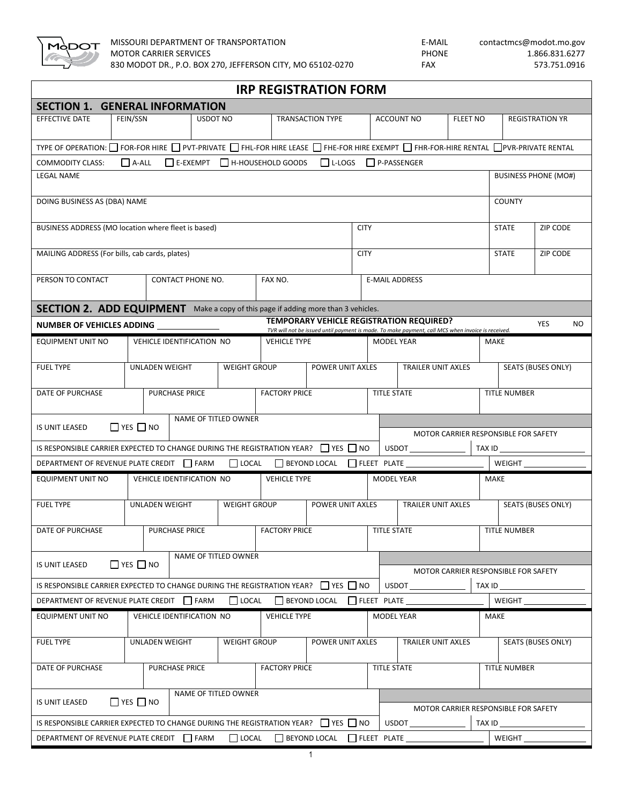

| <b>IRP REGISTRATION FORM</b>                                                                                                                                                                  |                                                       |                       |                                         |                                      |                          |                                      |                                      |                                                                                                   |                           |                           |                           |  |  |  |
|-----------------------------------------------------------------------------------------------------------------------------------------------------------------------------------------------|-------------------------------------------------------|-----------------------|-----------------------------------------|--------------------------------------|--------------------------|--------------------------------------|--------------------------------------|---------------------------------------------------------------------------------------------------|---------------------------|---------------------------|---------------------------|--|--|--|
| <b>SECTION 1. GENERAL INFORMATION</b>                                                                                                                                                         |                                                       |                       |                                         |                                      |                          |                                      |                                      |                                                                                                   |                           |                           |                           |  |  |  |
| EFFECTIVE DATE                                                                                                                                                                                | FEIN/SSN<br>USDOT NO                                  |                       |                                         | <b>TRANSACTION TYPE</b>              |                          |                                      | <b>ACCOUNT NO</b>                    |                                                                                                   | <b>FLEET NO</b>           |                           | <b>REGISTRATION YR</b>    |  |  |  |
| TYPE OF OPERATION: □ FOR-FOR HIRE □ PVT-PRIVATE □ FHL-FOR HIRE LEASE □ FHE-FOR HIRE EXEMPT □ FHR-FOR-HIRE RENTAL □ PVR-PRIVATE RENTAL                                                         |                                                       |                       |                                         |                                      |                          |                                      |                                      |                                                                                                   |                           |                           |                           |  |  |  |
| L-LOGS P-PASSENGER<br>$\Box$ A-ALL<br>$\Box$ E-EXEMPT $\Box$ H-HOUSEHOLD GOODS<br><b>COMMODITY CLASS:</b>                                                                                     |                                                       |                       |                                         |                                      |                          |                                      |                                      |                                                                                                   |                           |                           |                           |  |  |  |
| <b>BUSINESS PHONE (MO#)</b><br><b>LEGAL NAME</b>                                                                                                                                              |                                                       |                       |                                         |                                      |                          |                                      |                                      |                                                                                                   |                           |                           |                           |  |  |  |
| DOING BUSINESS AS (DBA) NAME<br><b>COUNTY</b>                                                                                                                                                 |                                                       |                       |                                         |                                      |                          |                                      |                                      |                                                                                                   |                           |                           |                           |  |  |  |
| BUSINESS ADDRESS (MO location where fleet is based)<br><b>CITY</b>                                                                                                                            |                                                       |                       |                                         |                                      |                          |                                      |                                      |                                                                                                   |                           | ZIP CODE<br><b>STATE</b>  |                           |  |  |  |
| MAILING ADDRESS (For bills, cab cards, plates)                                                                                                                                                |                                                       |                       |                                         |                                      |                          | <b>CITY</b>                          |                                      |                                                                                                   |                           |                           | <b>STATE</b><br>ZIP CODE  |  |  |  |
| PERSON TO CONTACT                                                                                                                                                                             | CONTACT PHONE NO.                                     |                       |                                         | FAX NO.                              |                          |                                      | <b>E-MAIL ADDRESS</b>                |                                                                                                   |                           |                           |                           |  |  |  |
|                                                                                                                                                                                               |                                                       |                       |                                         |                                      |                          |                                      |                                      |                                                                                                   |                           |                           |                           |  |  |  |
| SECTION 2. ADD EQUIPMENT Make a copy of this page if adding more than 3 vehicles.<br><b>TEMPORARY VEHICLE REGISTRATION REQUIRED?</b><br><b>YES</b><br>NO.<br><b>NUMBER OF VEHICLES ADDING</b> |                                                       |                       |                                         |                                      |                          |                                      |                                      |                                                                                                   |                           |                           |                           |  |  |  |
|                                                                                                                                                                                               |                                                       |                       |                                         |                                      |                          |                                      |                                      | TVR will not be issued until payment is made. To make payment, call MCS when invoice is received. |                           |                           |                           |  |  |  |
|                                                                                                                                                                                               | <b>EQUIPMENT UNIT NO</b><br>VEHICLE IDENTIFICATION NO |                       |                                         | <b>VEHICLE TYPE</b>                  |                          |                                      | <b>MODEL YEAR</b>                    |                                                                                                   |                           |                           | <b>MAKE</b>               |  |  |  |
| <b>FUEL TYPE</b>                                                                                                                                                                              | <b>UNLADEN WEIGHT</b><br><b>WEIGHT GROUP</b>          |                       |                                         |                                      |                          | POWER UNIT AXLES                     |                                      |                                                                                                   | <b>TRAILER UNIT AXLES</b> |                           | <b>SEATS (BUSES ONLY)</b> |  |  |  |
| DATE OF PURCHASE                                                                                                                                                                              |                                                       | <b>PURCHASE PRICE</b> |                                         | <b>FACTORY PRICE</b>                 |                          |                                      | <b>TITLE STATE</b>                   |                                                                                                   |                           | <b>TITLE NUMBER</b>       |                           |  |  |  |
| NAME OF TITLED OWNER                                                                                                                                                                          |                                                       |                       |                                         |                                      |                          |                                      |                                      |                                                                                                   |                           |                           |                           |  |  |  |
| $\Box$ YES $\Box$ NO<br>IS UNIT LEASED                                                                                                                                                        |                                                       |                       |                                         |                                      |                          |                                      |                                      | MOTOR CARRIER RESPONSIBLE FOR SAFETY                                                              |                           |                           |                           |  |  |  |
| IS RESPONSIBLE CARRIER EXPECTED TO CHANGE DURING THE REGISTRATION YEAR?   YES   NO<br><b>USDOT</b><br>TAX ID                                                                                  |                                                       |                       |                                         |                                      |                          |                                      |                                      |                                                                                                   |                           |                           |                           |  |  |  |
| DEPARTMENT OF REVENUE PLATE CREDIT   FARM                                                                                                                                                     |                                                       |                       |                                         | □ LOCAL □ BEYOND LOCAL □ FLEET PLATE |                          |                                      |                                      |                                                                                                   |                           |                           | WEIGHT                    |  |  |  |
| <b>EQUIPMENT UNIT NO</b><br>VEHICLE IDENTIFICATION NO                                                                                                                                         |                                                       |                       |                                         | <b>VEHICLE TYPE</b>                  |                          |                                      | <b>MODEL YEAR</b>                    |                                                                                                   |                           |                           | MAKE                      |  |  |  |
| <b>FUEL TYPE</b>                                                                                                                                                                              | UNLADEN WEIGHT                                        |                       | <b>WEIGHT GROUP</b><br>POWER UNIT AXLES |                                      |                          |                                      | <b>TRAILER UNIT AXLES</b>            |                                                                                                   |                           | <b>SEATS (BUSES ONLY)</b> |                           |  |  |  |
| DATE OF PURCHASE                                                                                                                                                                              |                                                       | <b>PURCHASE PRICE</b> |                                         | <b>FACTORY PRICE</b>                 |                          |                                      |                                      | <b>TITLE STATE</b>                                                                                |                           | <b>TITLE NUMBER</b>       |                           |  |  |  |
| NAME OF TITLED OWNER                                                                                                                                                                          |                                                       |                       |                                         |                                      |                          |                                      |                                      |                                                                                                   |                           |                           |                           |  |  |  |
| $\Box$ YES $\Box$ NO<br>IS UNIT LEASED                                                                                                                                                        |                                                       |                       |                                         |                                      |                          |                                      | MOTOR CARRIER RESPONSIBLE FOR SAFETY |                                                                                                   |                           |                           |                           |  |  |  |
| IS RESPONSIBLE CARRIER EXPECTED TO CHANGE DURING THE REGISTRATION YEAR? $\Box$ YES $\Box$ NO                                                                                                  |                                                       |                       |                                         |                                      |                          |                                      |                                      | USDOT                                                                                             |                           | TAX ID                    |                           |  |  |  |
| DEPARTMENT OF REVENUE PLATE CREDIT   FARM                                                                                                                                                     |                                                       |                       | $\Box$ LOCAL                            |                                      | BEYOND LOCAL FLEET PLATE |                                      |                                      |                                                                                                   |                           |                           | WEIGHT                    |  |  |  |
| <b>EQUIPMENT UNIT NO</b><br>VEHICLE IDENTIFICATION NO                                                                                                                                         |                                                       |                       | <b>VEHICLE TYPE</b>                     |                                      |                          | <b>MODEL YEAR</b>                    |                                      |                                                                                                   | MAKE                      |                           |                           |  |  |  |
| <b>UNLADEN WEIGHT</b><br><b>FUEL TYPE</b>                                                                                                                                                     |                                                       |                       | <b>WEIGHT GROUP</b><br>POWER UNIT AXLES |                                      |                          | <b>TRAILER UNIT AXLES</b>            |                                      |                                                                                                   |                           | <b>SEATS (BUSES ONLY)</b> |                           |  |  |  |
| DATE OF PURCHASE                                                                                                                                                                              |                                                       | <b>PURCHASE PRICE</b> |                                         | <b>FACTORY PRICE</b>                 | <b>TITLE STATE</b>       |                                      |                                      |                                                                                                   | <b>TITLE NUMBER</b>       |                           |                           |  |  |  |
| NAME OF TITLED OWNER                                                                                                                                                                          |                                                       |                       |                                         |                                      |                          |                                      |                                      |                                                                                                   |                           |                           |                           |  |  |  |
| $\Box$ YES $\Box$ NO<br>IS UNIT LEASED                                                                                                                                                        |                                                       |                       |                                         |                                      |                          | MOTOR CARRIER RESPONSIBLE FOR SAFETY |                                      |                                                                                                   |                           |                           |                           |  |  |  |
| IS RESPONSIBLE CARRIER EXPECTED TO CHANGE DURING THE REGISTRATION YEAR? THES                                                                                                                  |                                                       |                       |                                         |                                      |                          |                                      |                                      | <b>USDOT</b>                                                                                      |                           | TAX ID $\_\_\_\_\_\_\_\$  |                           |  |  |  |
| DEPARTMENT OF REVENUE PLATE CREDIT FARM<br>$\Box$ LOCAL<br>BEYOND LOCAL FLEET PLATE<br>WEIGHT                                                                                                 |                                                       |                       |                                         |                                      |                          |                                      |                                      |                                                                                                   |                           |                           |                           |  |  |  |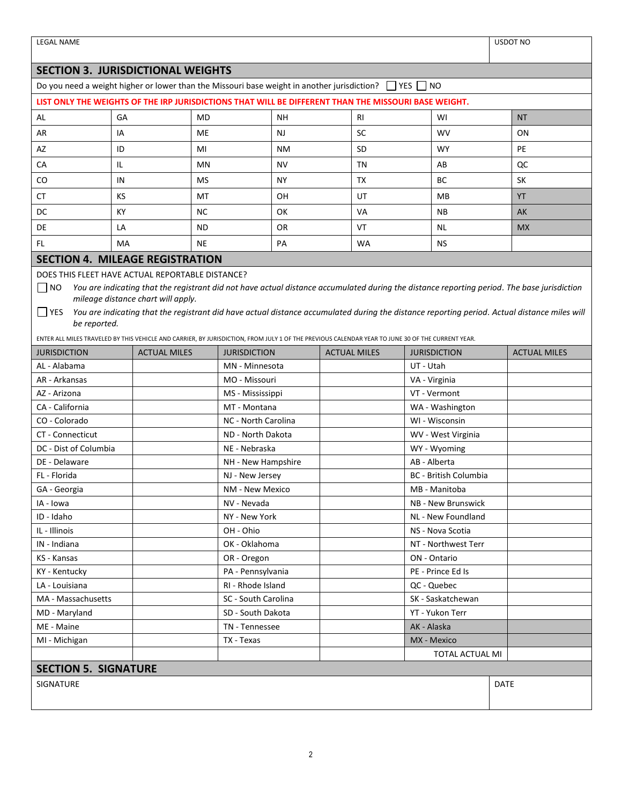| <b>LEGAL NAME</b>                                                                                                                                           |                     |                                    |                                       |  |                    |                              |                 |                                  |           |                     | <b>USDOT NO</b>                                                                                                                              |
|-------------------------------------------------------------------------------------------------------------------------------------------------------------|---------------------|------------------------------------|---------------------------------------|--|--------------------|------------------------------|-----------------|----------------------------------|-----------|---------------------|----------------------------------------------------------------------------------------------------------------------------------------------|
|                                                                                                                                                             |                     |                                    |                                       |  |                    |                              |                 |                                  |           |                     |                                                                                                                                              |
| <b>SECTION 3. JURISDICTIONAL WEIGHTS</b><br>Do you need a weight higher or lower than the Missouri base weight in another jurisdiction?<br>YES<br><b>NO</b> |                     |                                    |                                       |  |                    |                              |                 |                                  |           |                     |                                                                                                                                              |
| LIST ONLY THE WEIGHTS OF THE IRP JURISDICTIONS THAT WILL BE DIFFERENT THAN THE MISSOURI BASE WEIGHT.                                                        |                     |                                    |                                       |  |                    |                              |                 |                                  |           |                     |                                                                                                                                              |
| GA                                                                                                                                                          |                     |                                    |                                       |  |                    |                              |                 |                                  |           |                     |                                                                                                                                              |
| AL                                                                                                                                                          |                     | <b>MD</b>                          |                                       |  | <b>NH</b>          | <b>RI</b>                    |                 | WI                               |           |                     | <b>NT</b>                                                                                                                                    |
| AR                                                                                                                                                          | ΙA                  |                                    | ME                                    |  | <b>NJ</b>          |                              | SC              |                                  | <b>WV</b> |                     | ON                                                                                                                                           |
| AZ                                                                                                                                                          | ID                  | MI                                 |                                       |  | <b>NM</b>          |                              | SD              |                                  | <b>WY</b> |                     | PE                                                                                                                                           |
| CA                                                                                                                                                          | IL                  |                                    | MN                                    |  | <b>NV</b>          |                              | TN              |                                  | AB        |                     | QC                                                                                                                                           |
| CO                                                                                                                                                          | IN<br>MS            |                                    |                                       |  | NY.                |                              | TX              |                                  | <b>BC</b> |                     | SK                                                                                                                                           |
| СT                                                                                                                                                          | KS                  |                                    | МT                                    |  | OΗ                 |                              | UT              |                                  | MB        |                     | <b>YT</b>                                                                                                                                    |
| DC                                                                                                                                                          | КY                  |                                    | <b>NC</b>                             |  | OK                 |                              | VA              |                                  | <b>NB</b> |                     | AK                                                                                                                                           |
| DE                                                                                                                                                          | LA                  |                                    | ND                                    |  | OR                 |                              | VT              |                                  | NL.       |                     | <b>MX</b>                                                                                                                                    |
| FL.                                                                                                                                                         | MA                  |                                    | <b>NE</b>                             |  | PA                 |                              | WA              |                                  | <b>NS</b> |                     |                                                                                                                                              |
| <b>SECTION 4. MILEAGE REGISTRATION</b>                                                                                                                      |                     |                                    |                                       |  |                    |                              |                 |                                  |           |                     |                                                                                                                                              |
| DOES THIS FLEET HAVE ACTUAL REPORTABLE DISTANCE?                                                                                                            |                     |                                    |                                       |  |                    |                              |                 |                                  |           |                     |                                                                                                                                              |
| $\Box$ NO                                                                                                                                                   |                     |                                    |                                       |  |                    |                              |                 |                                  |           |                     | You are indicating that the registrant did not have actual distance accumulated during the distance reporting period. The base jurisdiction  |
|                                                                                                                                                             |                     | mileage distance chart will apply. |                                       |  |                    |                              |                 |                                  |           |                     |                                                                                                                                              |
| $\Box$ YES                                                                                                                                                  |                     |                                    |                                       |  |                    |                              |                 |                                  |           |                     | You are indicating that the registrant did have actual distance accumulated during the distance reporting period. Actual distance miles will |
| be reported.                                                                                                                                                |                     |                                    |                                       |  |                    |                              |                 |                                  |           |                     |                                                                                                                                              |
| ENTER ALL MILES TRAVELED BY THIS VEHICLE AND CARRIER, BY JURISDICTION, FROM JULY 1 OF THE PREVIOUS CALENDAR YEAR TO JUNE 30 OF THE CURRENT YEAR.            |                     |                                    |                                       |  |                    |                              |                 |                                  |           |                     |                                                                                                                                              |
| <b>JURISDICTION</b>                                                                                                                                         | <b>ACTUAL MILES</b> |                                    | <b>JURISDICTION</b><br>MN - Minnesota |  |                    | <b>ACTUAL MILES</b>          |                 | <b>JURISDICTION</b><br>UT - Utah |           | <b>ACTUAL MILES</b> |                                                                                                                                              |
| AL - Alabama                                                                                                                                                |                     | MO - Missouri                      |                                       |  | VA - Virginia      |                              |                 |                                  |           |                     |                                                                                                                                              |
| AR - Arkansas<br>AZ - Arizona                                                                                                                               |                     | MS - Mississippi                   |                                       |  |                    |                              | VT - Vermont    |                                  |           |                     |                                                                                                                                              |
| CA - California                                                                                                                                             |                     | MT - Montana                       |                                       |  |                    |                              | WA - Washington |                                  |           |                     |                                                                                                                                              |
| CO - Colorado                                                                                                                                               |                     | NC - North Carolina                |                                       |  |                    |                              | WI - Wisconsin  |                                  |           |                     |                                                                                                                                              |
| CT - Connecticut                                                                                                                                            |                     | ND - North Dakota                  |                                       |  | WV - West Virginia |                              |                 |                                  |           |                     |                                                                                                                                              |
| DC - Dist of Columbia                                                                                                                                       |                     | NE - Nebraska                      |                                       |  | WY - Wyoming       |                              |                 |                                  |           |                     |                                                                                                                                              |
| DE - Delaware                                                                                                                                               |                     | NH - New Hampshire                 |                                       |  |                    | AB - Alberta                 |                 |                                  |           |                     |                                                                                                                                              |
| FL - Florida                                                                                                                                                |                     | NJ - New Jersey                    |                                       |  |                    | <b>BC</b> - British Columbia |                 |                                  |           |                     |                                                                                                                                              |
| GA - Georgia                                                                                                                                                |                     |                                    | NM - New Mexico                       |  |                    | MB - Manitoba                |                 |                                  |           |                     |                                                                                                                                              |
| IA - Iowa                                                                                                                                                   |                     | NV - Nevada                        |                                       |  |                    | NB - New Brunswick           |                 |                                  |           |                     |                                                                                                                                              |
| ID - Idaho                                                                                                                                                  |                     | NY - New York                      |                                       |  |                    | NL - New Foundland           |                 |                                  |           |                     |                                                                                                                                              |
| IL - Illinois                                                                                                                                               |                     | OH - Ohio                          |                                       |  |                    | NS - Nova Scotia             |                 |                                  |           |                     |                                                                                                                                              |
| IN - Indiana                                                                                                                                                |                     | OK - Oklahoma                      |                                       |  |                    | NT - Northwest Terr          |                 |                                  |           |                     |                                                                                                                                              |
| KS - Kansas                                                                                                                                                 |                     |                                    | OR - Oregon                           |  |                    |                              | ON - Ontario    |                                  |           |                     |                                                                                                                                              |
| KY - Kentucky                                                                                                                                               |                     | PA - Pennsylvania                  |                                       |  |                    | PE - Prince Ed Is            |                 |                                  |           |                     |                                                                                                                                              |
| LA - Louisiana                                                                                                                                              |                     | RI - Rhode Island                  |                                       |  | QC - Quebec        |                              |                 |                                  |           |                     |                                                                                                                                              |
| MA - Massachusetts                                                                                                                                          |                     | SC - South Carolina                |                                       |  |                    | SK - Saskatchewan            |                 |                                  |           |                     |                                                                                                                                              |
| MD - Maryland                                                                                                                                               |                     | SD - South Dakota                  |                                       |  | YT - Yukon Terr    |                              |                 |                                  |           |                     |                                                                                                                                              |
| ME - Maine                                                                                                                                                  |                     | TN - Tennessee                     |                                       |  | AK - Alaska        |                              |                 |                                  |           |                     |                                                                                                                                              |
| MI - Michigan                                                                                                                                               |                     | TX - Texas                         |                                       |  | MX - Mexico        |                              |                 |                                  |           |                     |                                                                                                                                              |
|                                                                                                                                                             |                     |                                    |                                       |  |                    |                              | TOTAL ACTUAL MI |                                  |           |                     |                                                                                                                                              |
| <b>SECTION 5. SIGNATURE</b>                                                                                                                                 |                     |                                    |                                       |  |                    |                              |                 |                                  |           |                     |                                                                                                                                              |
| SIGNATURE                                                                                                                                                   |                     |                                    |                                       |  |                    |                              |                 |                                  |           | <b>DATE</b>         |                                                                                                                                              |
|                                                                                                                                                             |                     |                                    |                                       |  |                    |                              |                 |                                  |           |                     |                                                                                                                                              |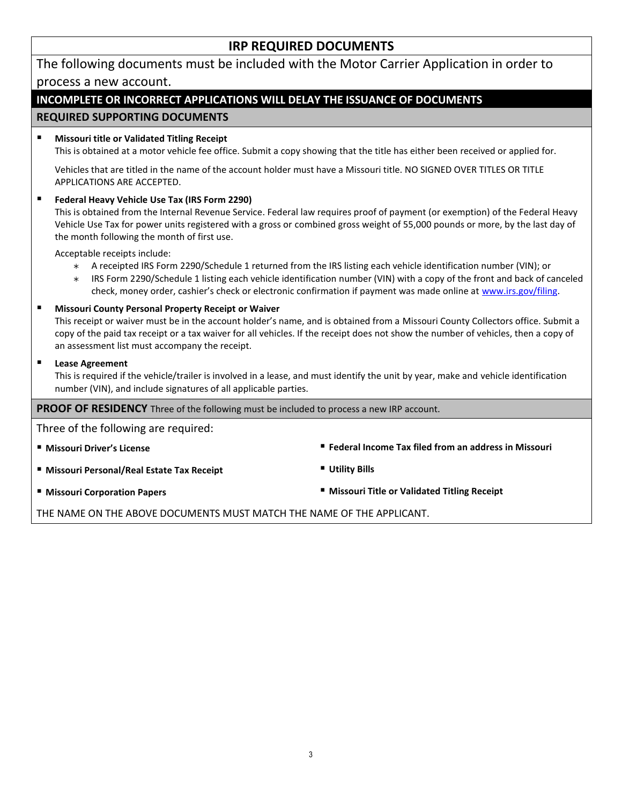# **IRP REQUIRED DOCUMENTS**

| The following documents must be included with the Motor Carrier Application in order to                                                                                                                                                                                                                                                                                                                            |                                               |  |  |  |  |  |  |
|--------------------------------------------------------------------------------------------------------------------------------------------------------------------------------------------------------------------------------------------------------------------------------------------------------------------------------------------------------------------------------------------------------------------|-----------------------------------------------|--|--|--|--|--|--|
| process a new account.                                                                                                                                                                                                                                                                                                                                                                                             |                                               |  |  |  |  |  |  |
| INCOMPLETE OR INCORRECT APPLICATIONS WILL DELAY THE ISSUANCE OF DOCUMENTS                                                                                                                                                                                                                                                                                                                                          |                                               |  |  |  |  |  |  |
| <b>REQUIRED SUPPORTING DOCUMENTS</b>                                                                                                                                                                                                                                                                                                                                                                               |                                               |  |  |  |  |  |  |
| $\blacksquare$<br><b>Missouri title or Validated Titling Receipt</b><br>This is obtained at a motor vehicle fee office. Submit a copy showing that the title has either been received or applied for.                                                                                                                                                                                                              |                                               |  |  |  |  |  |  |
| Vehicles that are titled in the name of the account holder must have a Missouri title. NO SIGNED OVER TITLES OR TITLE<br>APPLICATIONS ARE ACCEPTED.                                                                                                                                                                                                                                                                |                                               |  |  |  |  |  |  |
| $\blacksquare$<br>Federal Heavy Vehicle Use Tax (IRS Form 2290)<br>This is obtained from the Internal Revenue Service. Federal law requires proof of payment (or exemption) of the Federal Heavy<br>Vehicle Use Tax for power units registered with a gross or combined gross weight of 55,000 pounds or more, by the last day of<br>the month following the month of first use.                                   |                                               |  |  |  |  |  |  |
| Acceptable receipts include:<br>A receipted IRS Form 2290/Schedule 1 returned from the IRS listing each vehicle identification number (VIN); or<br>$\ast$<br>IRS Form 2290/Schedule 1 listing each vehicle identification number (VIN) with a copy of the front and back of canceled<br>$\ast$<br>check, money order, cashier's check or electronic confirmation if payment was made online at www.irs.gov/filing. |                                               |  |  |  |  |  |  |
| ٠<br>Missouri County Personal Property Receipt or Waiver<br>This receipt or waiver must be in the account holder's name, and is obtained from a Missouri County Collectors office. Submit a<br>copy of the paid tax receipt or a tax waiver for all vehicles. If the receipt does not show the number of vehicles, then a copy of<br>an assessment list must accompany the receipt.                                |                                               |  |  |  |  |  |  |
| п<br><b>Lease Agreement</b><br>This is required if the vehicle/trailer is involved in a lease, and must identify the unit by year, make and vehicle identification<br>number (VIN), and include signatures of all applicable parties.                                                                                                                                                                              |                                               |  |  |  |  |  |  |
| PROOF OF RESIDENCY Three of the following must be included to process a new IRP account.                                                                                                                                                                                                                                                                                                                           |                                               |  |  |  |  |  |  |
| Three of the following are required:                                                                                                                                                                                                                                                                                                                                                                               |                                               |  |  |  |  |  |  |
| " Federal Income Tax filed from an address in Missouri<br><b>"</b> Missouri Driver's License                                                                                                                                                                                                                                                                                                                       |                                               |  |  |  |  |  |  |
| " Missouri Personal/Real Estate Tax Receipt                                                                                                                                                                                                                                                                                                                                                                        | <b>Utility Bills</b>                          |  |  |  |  |  |  |
| <b>■ Missouri Corporation Papers</b>                                                                                                                                                                                                                                                                                                                                                                               | " Missouri Title or Validated Titling Receipt |  |  |  |  |  |  |

THE NAME ON THE ABOVE DOCUMENTS MUST MATCH THE NAME OF THE APPLICANT.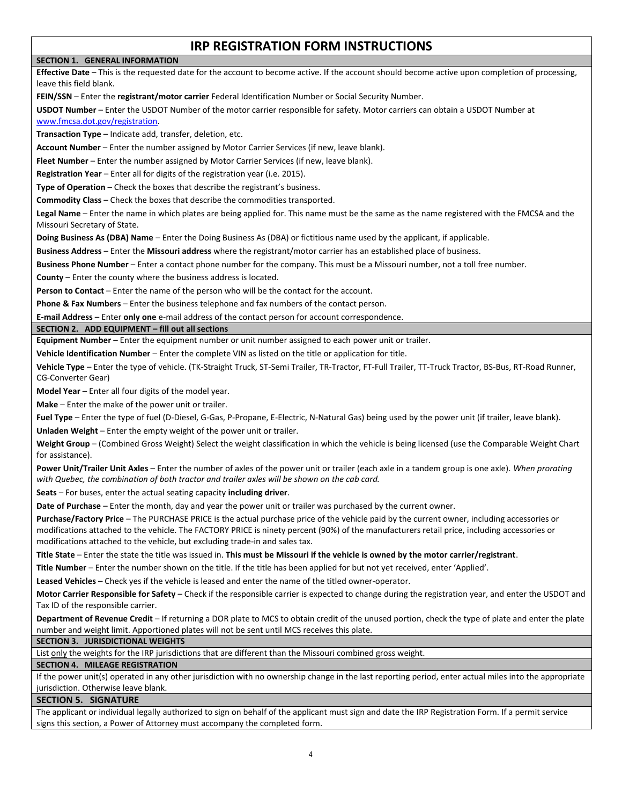# **IRP REGISTRATION FORM INSTRUCTIONS**

#### **SECTION 1. GENERAL INFORMATION**

**Effective Date** – This is the requested date for the account to become active. If the account should become active upon completion of processing, leave this field blank.

**FEIN/SSN** – Enter the **registrant/motor carrier** Federal Identification Number or Social Security Number.

**USDOT Number** – Enter the USDOT Number of the motor carrier responsible for safety. Motor carriers can obtain a USDOT Number at [www.fmcsa.dot.gov/registration.](http://www.fmcsa.dot.gov/registration)

**Transaction Type** – Indicate add, transfer, deletion, etc.

**Account Number** – Enter the number assigned by Motor Carrier Services (if new, leave blank).

**Fleet Number** – Enter the number assigned by Motor Carrier Services (if new, leave blank).

**Registration Year** – Enter all for digits of the registration year (i.e. 2015).

**Type of Operation** – Check the boxes that describe the registrant's business.

**Commodity Class** – Check the boxes that describe the commodities transported.

**Legal Name** – Enter the name in which plates are being applied for. This name must be the same as the name registered with the FMCSA and the Missouri Secretary of State.

**Doing Business As (DBA) Name** – Enter the Doing Business As (DBA) or fictitious name used by the applicant, if applicable.

**Business Address** – Enter the **Missouri address** where the registrant/motor carrier has an established place of business.

**Business Phone Number** – Enter a contact phone number for the company. This must be a Missouri number, not a toll free number.

**County** – Enter the county where the business address is located.

**Person to Contact** – Enter the name of the person who will be the contact for the account.

**Phone & Fax Numbers** – Enter the business telephone and fax numbers of the contact person.

**E-mail Address** – Enter **only one** e-mail address of the contact person for account correspondence.

**SECTION 2. ADD EQUIPMENT – fill out all sections**

**Equipment Number** – Enter the equipment number or unit number assigned to each power unit or trailer.

**Vehicle Identification Number** – Enter the complete VIN as listed on the title or application for title.

**Vehicle Type** – Enter the type of vehicle. (TK-Straight Truck, ST-Semi Trailer, TR-Tractor, FT-Full Trailer, TT-Truck Tractor, BS-Bus, RT-Road Runner, CG-Converter Gear)

**Model Year** – Enter all four digits of the model year.

**Make** – Enter the make of the power unit or trailer.

**Fuel Type** – Enter the type of fuel (D-Diesel, G-Gas, P-Propane, E-Electric, N-Natural Gas) being used by the power unit (if trailer, leave blank). **Unladen Weight** – Enter the empty weight of the power unit or trailer.

**Weight Group** – (Combined Gross Weight) Select the weight classification in which the vehicle is being licensed (use the Comparable Weight Chart for assistance).

**Power Unit/Trailer Unit Axles** – Enter the number of axles of the power unit or trailer (each axle in a tandem group is one axle). *When prorating with Quebec, the combination of both tractor and trailer axles will be shown on the cab card.*

**Seats** – For buses, enter the actual seating capacity **including driver**.

**Date of Purchase** – Enter the month, day and year the power unit or trailer was purchased by the current owner.

**Purchase/Factory Price** – The PURCHASE PRICE is the actual purchase price of the vehicle paid by the current owner, including accessories or modifications attached to the vehicle. The FACTORY PRICE is ninety percent (90%) of the manufacturers retail price, including accessories or modifications attached to the vehicle, but excluding trade-in and sales tax.

**Title State** – Enter the state the title was issued in. **This must be Missouri if the vehicle is owned by the motor carrier/registrant**.

**Title Number** – Enter the number shown on the title. If the title has been applied for but not yet received, enter 'Applied'.

**Leased Vehicles** – Check yes if the vehicle is leased and enter the name of the titled owner-operator.

**Motor Carrier Responsible for Safety** – Check if the responsible carrier is expected to change during the registration year, and enter the USDOT and Tax ID of the responsible carrier.

**Department of Revenue Credit** – If returning a DOR plate to MCS to obtain credit of the unused portion, check the type of plate and enter the plate number and weight limit. Apportioned plates will not be sent until MCS receives this plate.

# **SECTION 3. JURISDICTIONAL WEIGHTS**

List only the weights for the IRP jurisdictions that are different than the Missouri combined gross weight.

# **SECTION 4. MILEAGE REGISTRATION**

If the power unit(s) operated in any other jurisdiction with no ownership change in the last reporting period, enter actual miles into the appropriate jurisdiction. Otherwise leave blank.

# **SECTION 5. SIGNATURE**

The applicant or individual legally authorized to sign on behalf of the applicant must sign and date the IRP Registration Form. If a permit service signs this section, a Power of Attorney must accompany the completed form.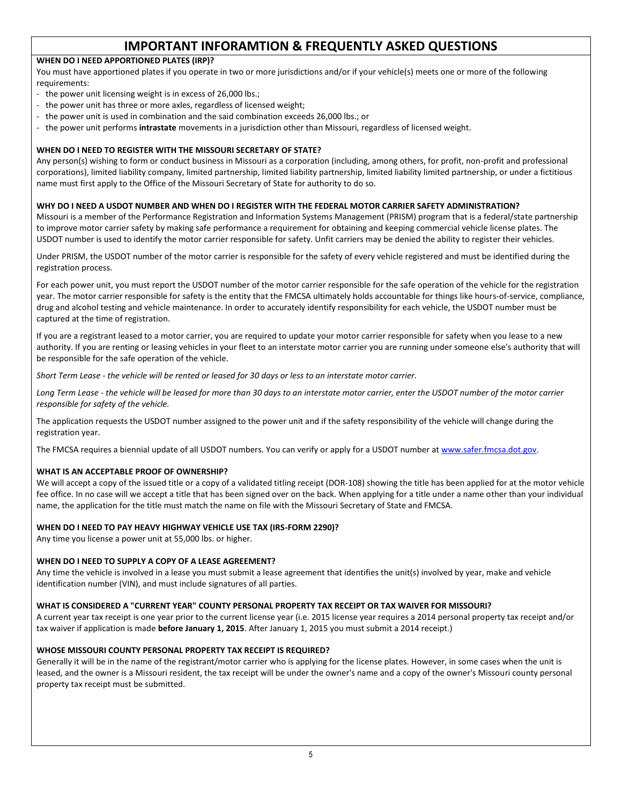# **IMPORTANT INFORAMTION & FREQUENTLY ASKED QUESTIONS**

# **WHEN DO I NEED APPORTIONED PLATES (IRP)?**

You must have apportioned plates if you operate in two or more jurisdictions and/or if your vehicle(s) meets one or more of the following requirements:

- the power unit licensing weight is in excess of 26,000 lbs.;
- the power unit has three or more axles, regardless of licensed weight;
- the power unit is used in combination and the said combination exceeds 26,000 lbs.; or
- the power unit performs **intrastate** movements in a jurisdiction other than Missouri, regardless of licensed weight.

# **WHEN DO I NEED TO REGISTER WITH THE MISSOURI SECRETARY OF STATE?**

Any person(s) wishing to form or conduct business in Missouri as a corporation (including, among others, for profit, non-profit and professional corporations), limited liability company, limited partnership, limited liability partnership, limited liability limited partnership, or under a fictitious name must first apply to the Office of the Missouri Secretary of State for authority to do so.

# **WHY DO I NEED A USDOT NUMBER AND WHEN DO I REGISTER WITH THE FEDERAL MOTOR CARRIER SAFETY ADMINISTRATION?**

Missouri is a member of the Performance Registration and Information Systems Management (PRISM) program that is a federal/state partnership to improve motor carrier safety by making safe performance a requirement for obtaining and keeping commercial vehicle license plates. The USDOT number is used to identify the motor carrier responsible for safety. Unfit carriers may be denied the ability to register their vehicles.

Under PRISM, the USDOT number of the motor carrier is responsible for the safety of every vehicle registered and must be identified during the registration process.

For each power unit, you must report the USDOT number of the motor carrier responsible for the safe operation of the vehicle for the registration year. The motor carrier responsible for safety is the entity that the FMCSA ultimately holds accountable for things like hours-of-service, compliance, drug and alcohol testing and vehicle maintenance. In order to accurately identify responsibility for each vehicle, the USDOT number must be captured at the time of registration.

If you are a registrant leased to a motor carrier, you are required to update your motor carrier responsible for safety when you lease to a new authority. If you are renting or leasing vehicles in your fleet to an interstate motor carrier you are running under someone else's authority that will be responsible for the safe operation of the vehicle.

*Short Term Lease - the vehicle will be rented or leased for 30 days or less to an interstate motor carrier.*

*Long Term Lease - the vehicle will be leased for more than 30 days to an interstate motor carrier, enter the USDOT number of the motor carrier responsible for safety of the vehicle.*

The application requests the USDOT number assigned to the power unit and if the safety responsibility of the vehicle will change during the registration year.

The FMCSA requires a biennial update of all USDOT numbers. You can verify or apply for a USDOT number a[t www.safer.fmcsa.dot.gov.](http://www.safer.fmcsa.dot.gov/)

# **WHAT IS AN ACCEPTABLE PROOF OF OWNERSHIP?**

We will accept a copy of the issued title or a copy of a validated titling receipt (DOR-108) showing the title has been applied for at the motor vehicle fee office. In no case will we accept a title that has been signed over on the back. When applying for a title under a name other than your individual name, the application for the title must match the name on file with the Missouri Secretary of State and FMCSA.

# **WHEN DO I NEED TO PAY HEAVY HIGHWAY VEHICLE USE TAX (IRS-FORM 2290)?**

Any time you license a power unit at 55,000 lbs. or higher.

# **WHEN DO I NEED TO SUPPLY A COPY OF A LEASE AGREEMENT?**

Any time the vehicle is involved in a lease you must submit a lease agreement that identifies the unit(s) involved by year, make and vehicle identification number (VIN), and must include signatures of all parties.

# **WHAT IS CONSIDERED A "CURRENT YEAR" COUNTY PERSONAL PROPERTY TAX RECEIPT OR TAX WAIVER FOR MISSOURI?**

A current year tax receipt is one year prior to the current license year (i.e. 2015 license year requires a 2014 personal property tax receipt and/or tax waiver if application is made **before January 1, 2015**. After January 1, 2015 you must submit a 2014 receipt.)

# **WHOSE MISSOURI COUNTY PERSONAL PROPERTY TAX RECEIPT IS REQUIRED?**

Generally it will be in the name of the registrant/motor carrier who is applying for the license plates. However, in some cases when the unit is leased, and the owner is a Missouri resident, the tax receipt will be under the owner's name and a copy of the owner's Missouri county personal property tax receipt must be submitted.